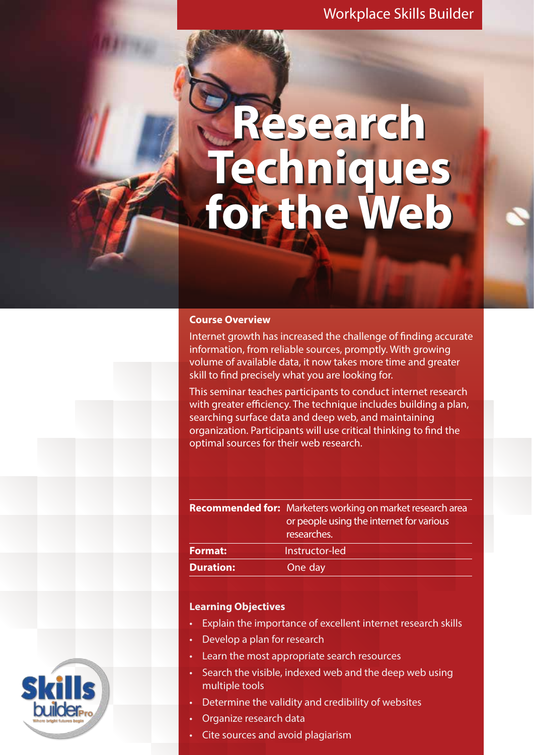### Workplace Skills Builder

# **Research Research Techniques for the Web Techniques for the Web**

#### **Course Overview**

Internet growth has increased the challenge of finding accurate information, from reliable sources, promptly. With growing volume of available data, it now takes more time and greater skill to find precisely what you are looking for.

This seminar teaches participants to conduct internet research with greater efficiency. The technique includes building a plan, searching surface data and deep web, and maintaining organization. Participants will use critical thinking to find the optimal sources for their web research.

|                  | <b>Recommended for:</b> Marketers working on market research area<br>or people using the internet for various<br>researches. |
|------------------|------------------------------------------------------------------------------------------------------------------------------|
| <b>Format:</b>   | Instructor-led                                                                                                               |
| <b>Duration:</b> | One day                                                                                                                      |

#### **Learning Objectives**

- Explain the importance of excellent internet research skills
- Develop a plan for research
- Learn the most appropriate search resources
- multiple tools Search the visible, indexed web and the deep web using
- Determine the validity and credibility of websites
- Organize research data
- Cite sources and avoid plagiarism